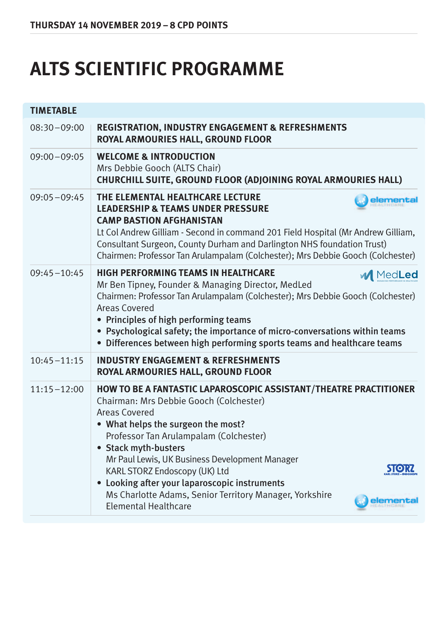## **ALTS SCIENTIFIC PROGRAMME**

| <b>TIMETABLE</b> |                                                                                                                                                                                                                                                                                                                                                                                                                                                                                |
|------------------|--------------------------------------------------------------------------------------------------------------------------------------------------------------------------------------------------------------------------------------------------------------------------------------------------------------------------------------------------------------------------------------------------------------------------------------------------------------------------------|
| $08:30 - 09:00$  | <b>REGISTRATION, INDUSTRY ENGAGEMENT &amp; REFRESHMENTS</b><br>ROYAL ARMOURIES HALL, GROUND FLOOR                                                                                                                                                                                                                                                                                                                                                                              |
| $09:00 - 09:05$  | <b>WELCOME &amp; INTRODUCTION</b><br>Mrs Debbie Gooch (ALTS Chair)<br>CHURCHILL SUITE, GROUND FLOOR (ADJOINING ROYAL ARMOURIES HALL)                                                                                                                                                                                                                                                                                                                                           |
| $09:05 - 09:45$  | THE ELEMENTAL HEALTHCARE LECTURE<br>elementa<br><b>LEADERSHIP &amp; TEAMS UNDER PRESSURE</b><br><b>CAMP BASTION AFGHANISTAN</b><br>Lt Col Andrew Gilliam - Second in command 201 Field Hospital (Mr Andrew Gilliam,<br>Consultant Surgeon, County Durham and Darlington NHS foundation Trust)<br>Chairmen: Professor Tan Arulampalam (Colchester); Mrs Debbie Gooch (Colchester)                                                                                               |
| $09:45 - 10:45$  | <b>HIGH PERFORMING TEAMS IN HEALTHCARE</b><br><b>M</b> MedLed<br>Mr Ben Tipney, Founder & Managing Director, MedLed<br>Chairmen: Professor Tan Arulampalam (Colchester); Mrs Debbie Gooch (Colchester)<br>Areas Covered<br>• Principles of high performing teams<br>• Psychological safety; the importance of micro-conversations within teams<br>• Differences between high performing sports teams and healthcare teams                                                      |
| $10:45 - 11:15$  | <b>INDUSTRY ENGAGEMENT &amp; REFRESHMENTS</b><br>ROYAL ARMOURIES HALL, GROUND FLOOR                                                                                                                                                                                                                                                                                                                                                                                            |
| $11:15 - 12:00$  | HOW TO BE A FANTASTIC LAPAROSCOPIC ASSISTANT/THEATRE PRACTITIONER<br>Chairman: Mrs Debbie Gooch (Colchester)<br>Areas Covered<br>• What helps the surgeon the most?<br>Professor Tan Arulampalam (Colchester)<br>• Stack myth-busters<br>Mr Paul Lewis, UK Business Development Manager<br>KARL STORZ Endoscopy (UK) Ltd<br>Looking after your laparoscopic instruments<br>$\bullet$<br>Ms Charlotte Adams, Senior Territory Manager, Yorkshire<br><b>Elemental Healthcare</b> |